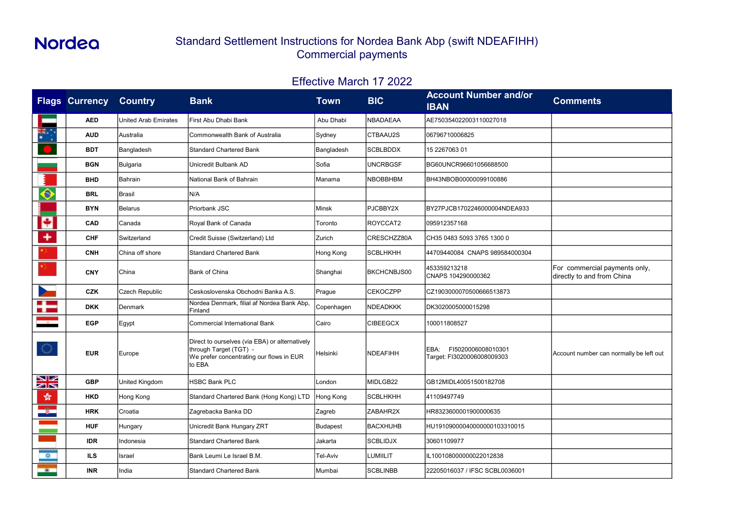| <b>Comments</b>                                             |
|-------------------------------------------------------------|
|                                                             |
|                                                             |
|                                                             |
|                                                             |
|                                                             |
|                                                             |
|                                                             |
|                                                             |
|                                                             |
|                                                             |
| For commercial payments only,<br>directly to and from China |
|                                                             |
|                                                             |
|                                                             |
| Account number can normally be left out                     |
|                                                             |
|                                                             |
|                                                             |
|                                                             |
|                                                             |
|                                                             |
|                                                             |

|                             | <b>Flags Currency</b> | <b>Country</b>              | <b>Bank</b>                                                                                                                    | Town         | <b>BIC</b>         | <b>Account Number and/or</b><br><b>IBAN</b>              | <b>Comments</b>                                             |
|-----------------------------|-----------------------|-----------------------------|--------------------------------------------------------------------------------------------------------------------------------|--------------|--------------------|----------------------------------------------------------|-------------------------------------------------------------|
|                             | <b>AED</b>            | <b>United Arab Emirates</b> | First Abu Dhabi Bank                                                                                                           | Abu Dhabi    | <b>NBADAEAA</b>    | AE750354022003110027018                                  |                                                             |
| ₩.;                         | <b>AUD</b>            | Australia                   | Commonwealth Bank of Australia                                                                                                 | Sydney       | CTBAAU2S           | 06796710006825                                           |                                                             |
|                             | <b>BDT</b>            | Bangladesh                  | <b>Standard Chartered Bank</b>                                                                                                 | Bangladesh   | <b>SCBLBDDX</b>    | 15 2267063 01                                            |                                                             |
|                             | <b>BGN</b>            | Bulgaria                    | Unicredit Bulbank AD                                                                                                           | Sofia        | <b>UNCRBGSF</b>    | BG60UNCR96601056688500                                   |                                                             |
|                             | <b>BHD</b>            | Bahrain                     | National Bank of Bahrain                                                                                                       | Manama       | <b>NBOBBHBM</b>    | BH43NBOB00000099100886                                   |                                                             |
| $\color{blue}\blacklozenge$ | <b>BRL</b>            | Brasil                      | N/A                                                                                                                            |              |                    |                                                          |                                                             |
|                             | <b>BYN</b>            | Belarus                     | Priorbank JSC                                                                                                                  | <b>Minsk</b> | PJCBBY2X           | BY27PJCB1702246000004NDEA933                             |                                                             |
| H                           | <b>CAD</b>            | Canada                      | Royal Bank of Canada                                                                                                           | Toronto      | ROYCCAT2           | 095912357168                                             |                                                             |
| £                           | <b>CHF</b>            | Switzerland                 | Credit Suisse (Switzerland) Ltd                                                                                                | Zurich       | CRESCHZZ80A        | CH35 0483 5093 3765 1300 0                               |                                                             |
|                             | <b>CNH</b>            | China off shore             | <b>Standard Chartered Bank</b>                                                                                                 | Hong Kong    | SCBLHKHH           | 44709440084 CNAPS 989584000304                           |                                                             |
|                             | <b>CNY</b>            | China                       | <b>Bank of China</b>                                                                                                           | Shanghai     | <b>BKCHCNBJS00</b> | 453359213218<br>CNAPS 104290000362                       | For commercial payments only,<br>directly to and from China |
|                             | <b>CZK</b>            | <b>Czech Republic</b>       | Ceskoslovenska Obchodni Banka A.S.                                                                                             | Prague       | <b>CEKOCZPP</b>    | CZ1903000070500666513873                                 |                                                             |
|                             | <b>DKK</b>            | Denmark                     | Nordea Denmark, filial af Nordea Bank Abp,<br>Finland                                                                          | Copenhagen   | NDEADKKK           | DK3020005000015298                                       |                                                             |
| $\frac{1}{2}$               | <b>EGP</b>            | Egypt                       | <b>Commercial International Bank</b>                                                                                           | Cairo        | <b>CIBEEGCX</b>    | 100011808527                                             |                                                             |
| <b>TA</b>                   | <b>EUR</b>            | Europe                      | Direct to ourselves (via EBA) or alternatively<br>through Target (TGT) -<br>We prefer concentrating our flows in EUR<br>to EBA | Helsinki     | <b>NDEAFIHH</b>    | EBA:<br>FI5020006008010301<br>Target: FI3020006008009303 | Account number can normally be left out                     |
| XK                          | <b>GBP</b>            | United Kingdom              | HSBC Bank PLC                                                                                                                  | London       | MIDLGB22           | GB12MIDL40051500182708                                   |                                                             |
| 睿                           | <b>HKD</b>            | Hong Kong                   | Standard Chartered Bank (Hong Kong) LTD                                                                                        | Hong Kong    | SCBLHKHH           | 41109497749                                              |                                                             |
| $\rightarrow$               | <b>HRK</b>            | Croatia                     | Zagrebacka Banka DD                                                                                                            | Zagreb       | ZABAHR2X           | HR8323600001900000635                                    |                                                             |
|                             | <b>HUF</b>            | Hungary                     | Unicredit Bank Hungary ZRT                                                                                                     | Budapest     | <b>BACXHUHB</b>    | HU19109000040000000103310015                             |                                                             |
|                             | <b>IDR</b>            | Indonesia                   | Standard Chartered Bank                                                                                                        | Jakarta      | SCBLIDJX           | 30601109977                                              |                                                             |
| <b>SIGN</b>                 | ILS                   | Israel                      | Bank Leumi Le Israel B.M.                                                                                                      | Tel-Aviv     | LUMIILIT           | IL100108000000022012838                                  |                                                             |
| <b>Contract</b>             | <b>INR</b>            | India                       | Standard Chartered Bank                                                                                                        | Mumbai       | <b>SCBLINBB</b>    | 22205016037 / IFSC SCBL0036001                           |                                                             |

## Standard Settlement Instructions for Nordea Bank Abp (swift NDEAFIHH) Commercial payments

### Effective March 17 2022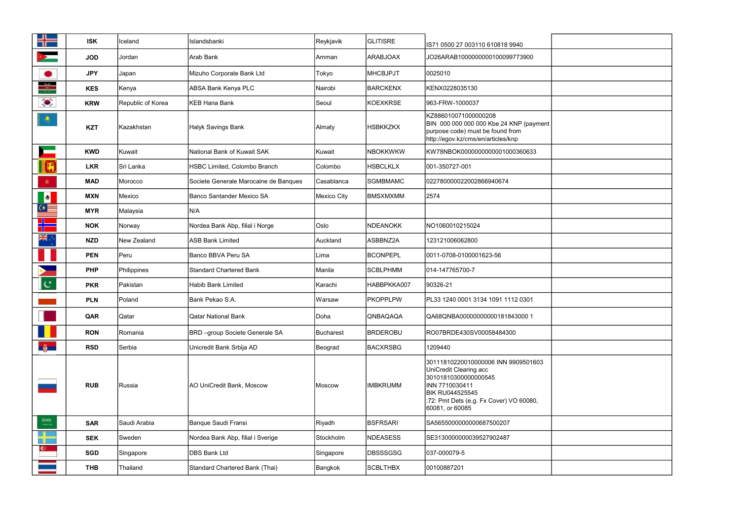|                         | <b>ISK</b> | Iceland           | Islandsbanki                          | Reykjavik   | <b>GLITISRE</b> | IS71 0500 27 003110 610818 9940                                                                                                                                                                 |  |
|-------------------------|------------|-------------------|---------------------------------------|-------------|-----------------|-------------------------------------------------------------------------------------------------------------------------------------------------------------------------------------------------|--|
|                         | <b>JOD</b> | Jordan            | Arab Bank                             | lAmman      | ARABJOAX        | JO26ARAB1000000000100099773900                                                                                                                                                                  |  |
| D                       | <b>JPY</b> | Japan             | Mizuho Corporate Bank Ltd             | Tokyo       | <b>MHCBJPJT</b> | 0025010                                                                                                                                                                                         |  |
|                         | <b>KES</b> | Kenya             | ABSA Bank Kenya PLC                   | Nairobi     | <b>BARCKENX</b> | KENX0228035130                                                                                                                                                                                  |  |
| $\bullet$               | <b>KRW</b> | Republic of Korea | KEB Hana Bank                         | Seoul       | <b>KOEXKRSE</b> | 963-FRW-1000037                                                                                                                                                                                 |  |
| $\mathbf{Q}$            | <b>KZT</b> | Kazakhstan        | <b>Halyk Savings Bank</b>             | Almaty      | <b>HSBKKZKX</b> | KZ886010071000000208<br>BIN 000 000 000 000 Kbe 24 KNP (payment<br>purpose code) must be found from<br>http://egov.kz/cms/en/articles/knp                                                       |  |
|                         | <b>KWD</b> | Kuwait            | National Bank of Kuwait SAK           | Kuwait      | <b>NBOKKWKW</b> | KW78NBOK0000000000001000360633                                                                                                                                                                  |  |
|                         | <b>LKR</b> | Sri Lanka         | HSBC Limited, Colombo Branch          | Colombo     | <b>HSBCLKLX</b> | 001-350727-001                                                                                                                                                                                  |  |
| 寅.                      | <b>MAD</b> | Morocco           | Societe Generale Marocaine de Banques | Casablanca  | <b>SGMBMAMC</b> | 022780000022002866940674                                                                                                                                                                        |  |
| $ \bullet $             | <b>MXN</b> | Mexico            | Banco Santander Mexico SA             | Mexico City | <b>BMSXMXMM</b> | 2574                                                                                                                                                                                            |  |
| _⊙                      | <b>MYR</b> | Malaysia          | N/A                                   |             |                 |                                                                                                                                                                                                 |  |
|                         | <b>NOK</b> | Norway            | Nordea Bank Abp, filial i Norge       | Oslo        | <b>NDEANOKK</b> | NO1060010215024                                                                                                                                                                                 |  |
| NK                      | <b>NZD</b> | New Zealand       | <b>ASB Bank Limited</b>               | Auckland    | ASBBNZ2A        | 123121006062800                                                                                                                                                                                 |  |
|                         | <b>PEN</b> | Peru              | Banco BBVA Peru SA                    | Lima        | <b>BCONPEPL</b> | 0011-0708-0100001623-56                                                                                                                                                                         |  |
|                         | <b>PHP</b> | Philippines       | <b>Standard Chartered Bank</b>        | Manila      | <b>SCBLPHMM</b> | 014-147765700-7                                                                                                                                                                                 |  |
| $\mathsf{C}$            | <b>PKR</b> | <b>Pakistan</b>   | <b>Habib Bank Limited</b>             | Karachi     | HABBPKKA007     | 90326-21                                                                                                                                                                                        |  |
|                         | <b>PLN</b> | Poland            | Bank Pekao S.A.                       | Warsaw      | <b>PKOPPLPW</b> | PL33 1240 0001 3134 1091 1112 0301                                                                                                                                                              |  |
|                         | QAR        | Qatar             | <b>Qatar National Bank</b>            | Doha        | QNBAQAQA        | QA68QNBA00000000000181843000 1                                                                                                                                                                  |  |
|                         | <b>RON</b> | Romania           | <b>BRD</b> -group Societe Generale SA | Bucharest   | <b>BRDEROBU</b> | RO07BRDE430SV00058484300                                                                                                                                                                        |  |
| $\frac{2}{3}$           | <b>RSD</b> | Serbia            | Unicredit Bank Srbija AD              | Beograd     | <b>BACXRSBG</b> | 1209440                                                                                                                                                                                         |  |
|                         | <b>RUB</b> | Russia            | AO UniCredit Bank, Moscow             | Moscow      | <b>IMBKRUMM</b> | 30111810220010000006 INN 9909501603<br>UniCredit Clearing acc<br>30101810300000000545<br>INN 7710030411<br><b>BIK RU044525545</b><br>:72: Pmt Dets (e.g. Fx Cover) VO 60080,<br>60081, or 60085 |  |
| $\frac{\hbar m}{\hbar}$ | <b>SAR</b> | Saudi Arabia      | Banque Saudi Fransi                   | Riyadh      | <b>BSFRSARI</b> | SA5655000000000687500207                                                                                                                                                                        |  |
|                         | <b>SEK</b> | Sweden            | Nordea Bank Abp, filial i Sverige     | Stockholm   | <b>NDEASESS</b> | SE3130000000039527902487                                                                                                                                                                        |  |
| <b>C</b>                | <b>SGD</b> | Singapore         | <b>DBS Bank Ltd</b>                   | Singapore   | <b>DBSSSGSG</b> | 037-000079-5                                                                                                                                                                                    |  |
|                         | <b>THB</b> | Thailand          | <b>Standard Chartered Bank (Thai)</b> | Bangkok     | <b>SCBLTHBX</b> | 00100887201                                                                                                                                                                                     |  |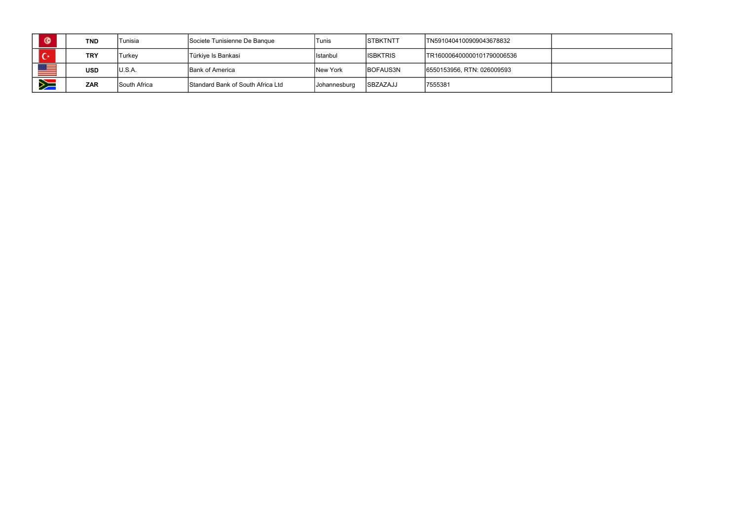|   | <b>TND</b> | Tunisia      | Societe Tunisienne De Banque      | Tunis               | <b>ISTBKTNTT</b> | TN5910404100909043678832   |  |
|---|------------|--------------|-----------------------------------|---------------------|------------------|----------------------------|--|
|   | <b>TRY</b> | Turkey       | Türkiye Is Bankasi                | Istanbul            | <b>ISBKTRIS</b>  | TR160006400000101790006536 |  |
|   | <b>USD</b> | U.S.A.       | Bank of America                   | New York            | BOFAUS3N         | 6550153956, RTN: 026009593 |  |
| ₩ | <b>ZAR</b> | South Africa | Standard Bank of South Africa Ltd | <b>Johannesburg</b> | SBZAZAJJ         | 7555381                    |  |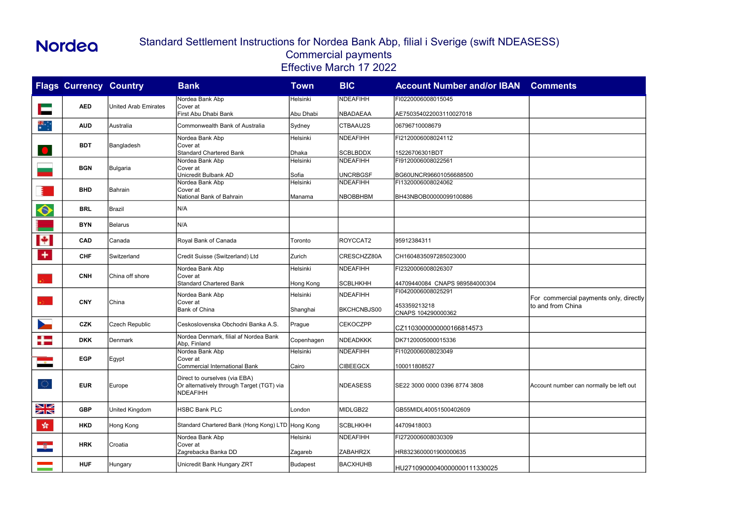|                          | <b>Flags Currency Country</b> |                      | <b>Bank</b>                                                                | Town              | <b>BIC</b>         | <b>Account Number and/or IBAN</b>            | <b>Comments</b>                         |
|--------------------------|-------------------------------|----------------------|----------------------------------------------------------------------------|-------------------|--------------------|----------------------------------------------|-----------------------------------------|
|                          | <b>AED</b>                    | United Arab Emirates | Nordea Bank Abp<br><b>Cover</b> at                                         | Helsinki          | NDEAFIHH           | FI0220006008015045                           |                                         |
|                          |                               |                      | First Abu Dhabi Bank                                                       | Abu Dhabi         | NBADAEAA           | AE750354022003110027018                      |                                         |
| ₩.                       | <b>AUD</b>                    | Australia            | Commonwealth Bank of Australia                                             | Sydney            | CTBAAU2S           | 06796710008679                               |                                         |
|                          |                               |                      | Nordea Bank Abp                                                            | Helsinki          | <b>NDEAFIHH</b>    | FI2120006008024112                           |                                         |
| O                        | <b>BDT</b>                    | Bangladesh           | Cover at<br><b>Standard Chartered Bank</b>                                 | Dhaka             | <b>SCBLBDDX</b>    | 15226706301BDT                               |                                         |
|                          |                               |                      | Nordea Bank Abp                                                            | Helsinki          | <b>NDEAFIHH</b>    | FI9120006008022561                           |                                         |
|                          | <b>BGN</b>                    | Bulgaria             | Cover at                                                                   |                   | UNCRBGSF           |                                              |                                         |
|                          |                               |                      | Unicredit Bulbank AD<br>Nordea Bank Abp                                    | Sofia<br>Helsinki | <b>NDEAFIHH</b>    | BG60UNCR96601056688500<br>FI1320006008024062 |                                         |
|                          | <b>BHD</b>                    | Bahrain              | Cover at                                                                   |                   |                    |                                              |                                         |
|                          |                               |                      | National Bank of Bahrain                                                   | Manama            | <b>NBOBBHBM</b>    | BH43NBOB00000099100886                       |                                         |
| $\hat{\mathbf{\circ}}$   | <b>BRL</b>                    | Brazil               | N/A                                                                        |                   |                    |                                              |                                         |
|                          | <b>BYN</b>                    | Belarus              | N/A                                                                        |                   |                    |                                              |                                         |
| H                        | <b>CAD</b>                    | Canada               | Royal Bank of Canada                                                       | Toronto           | ROYCCAT2           | 95912384311                                  |                                         |
| ٠                        | <b>CHF</b>                    | Switzerland          | Credit Suisse (Switzerland) Ltd                                            | Zurich            | CRESCHZZ80A        | CH1604835097285023000                        |                                         |
|                          |                               |                      | Nordea Bank Abp                                                            | Helsinki          | <b>NDEAFIHH</b>    | FI2320006008026307                           |                                         |
|                          | <b>CNH</b>                    | China off shore      | Cover at<br><b>Standard Chartered Bank</b>                                 | Hong Kong         | <b>SCBLHKHH</b>    | 44709440084 CNAPS 989584000304               |                                         |
|                          |                               |                      | Nordea Bank Abp                                                            | Helsinki          | <b>NDEAFIHH</b>    | FI0420006008025291                           |                                         |
| $\mathbf{r}$             | <b>CNY</b>                    | China                | Cover at                                                                   |                   |                    |                                              | For commercial payments only, dired     |
|                          |                               |                      | <b>Bank of China</b>                                                       | Shanghai          | <b>BKCHCNBJS00</b> | 453359213218<br>CNAPS 104290000362           | to and from China                       |
| $\overline{\phantom{a}}$ | <b>CZK</b>                    | Czech Republic       | Ceskoslovenska Obchodni Banka A.S.                                         | Prague            | <b>CEKOCZPP</b>    | CZ1103000000000166814573                     |                                         |
| ╋                        | <b>DKK</b>                    | Denmark              | Nordea Denmark, filial af Nordea Bank<br>Abp, Finland                      | Copenhagen        | <b>NDEADKKK</b>    | DK7120005000015336                           |                                         |
|                          |                               |                      | Nordea Bank Abp                                                            | Helsinki          | <b>NDEAFIHH</b>    | FI1020006008023049                           |                                         |
| $-85 -$                  | <b>EGP</b>                    | Egypt                | Cover at<br><b>Commercial International Bank</b>                           | Cairo             | <b>CIBEEGCX</b>    | 100011808527                                 |                                         |
|                          |                               |                      |                                                                            |                   |                    |                                              |                                         |
| $\circlearrowleft$       | <b>EUR</b>                    | Europe               | Direct to ourselves (via EBA)<br>Or alternatively through Target (TGT) via |                   | <b>NDEASESS</b>    | SE22 3000 0000 0396 8774 3808                | Account number can normally be left out |
|                          |                               |                      | <b>NDEAFIHH</b>                                                            |                   |                    |                                              |                                         |
| XK                       | <b>GBP</b>                    | United Kingdom       | <b>HSBC Bank PLC</b>                                                       | London            | MIDLGB22           | GB55MIDL40051500402609                       |                                         |
| 紫                        | <b>HKD</b>                    | Hong Kong            | Standard Chartered Bank (Hong Kong) LTD Hong Kong                          |                   | <b>SCBLHKHH</b>    | 44709418003                                  |                                         |
|                          |                               |                      | Nordea Bank Abp                                                            | Helsinki          | <b>NDEAFIHH</b>    | FI2720006008030309                           |                                         |
| $\rightarrow$            | <b>HRK</b>                    | Croatia              | Cover at                                                                   |                   |                    |                                              |                                         |
|                          |                               |                      | Zagrebacka Banka DD                                                        | Zagareb           | ZABAHR2X           | HR8323600001900000635                        |                                         |
|                          | <b>HUF</b>                    | Hungary              | Unicredit Bank Hungary ZRT                                                 | <b>Budapest</b>   | <b>BACXHUHB</b>    | HU27109000040000000111330025                 |                                         |

| <b>Comments</b>                                             |
|-------------------------------------------------------------|
|                                                             |
|                                                             |
|                                                             |
|                                                             |
|                                                             |
|                                                             |
|                                                             |
|                                                             |
|                                                             |
|                                                             |
| For commercial payments only, directly<br>to and from China |
|                                                             |
|                                                             |
|                                                             |
| Account number can normally be left out                     |
|                                                             |
|                                                             |
|                                                             |
|                                                             |

#### Standard Settlement Instructions for Nordea Bank Abp, filial i Sverige (swift NDEASESS) Commercial payments Effective March 17 2022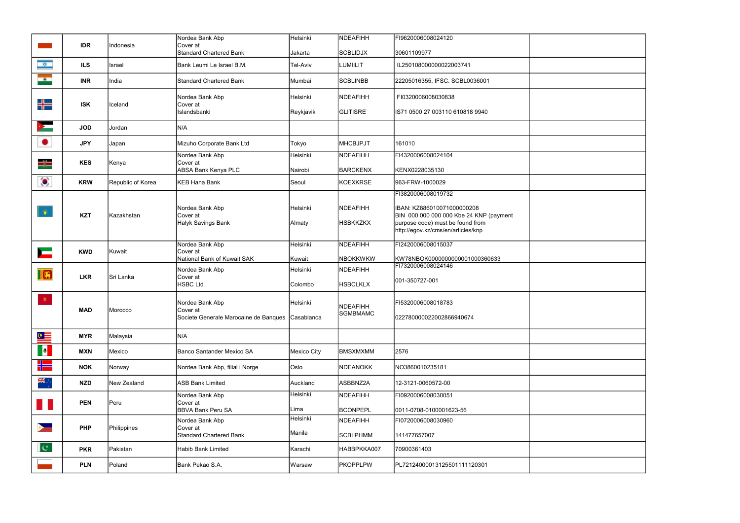|                          | <b>IDR</b> | IIndonesia        | Nordea Bank Abp<br>Cover at                                       | Helsinki          | <b>NDEAFIHH</b>                    | FI9620006008024120                                                          |  |
|--------------------------|------------|-------------------|-------------------------------------------------------------------|-------------------|------------------------------------|-----------------------------------------------------------------------------|--|
|                          |            |                   | <b>Standard Chartered Bank</b>                                    | Jakarta           | <b>SCBLIDJX</b>                    | 30601109977                                                                 |  |
| ø,                       | <b>ILS</b> | Israel            | Bank Leumi Le Israel B.M.                                         | <b>Tel-Aviv</b>   | <b>LUMIILIT</b>                    | IL250108000000022003741                                                     |  |
| me i                     | <b>INR</b> | India             | <b>Standard Chartered Bank</b>                                    | Mumbai            | <b>SCBLINBB</b>                    | 22205016355, IFSC. SCBL0036001                                              |  |
|                          |            |                   | Nordea Bank Abp                                                   | <b>I</b> Helsinki | <b>NDEAFIHH</b>                    | FI0320006008030838                                                          |  |
| ╬═                       | <b>ISK</b> | lceland           | Cover at<br>Islandsbanki                                          | Reykjavik         | <b>IGLITISRE</b>                   | IS71 0500 27 003110 610818 9940                                             |  |
| ➤                        | <b>JOD</b> | Jordan            | N/A                                                               |                   |                                    |                                                                             |  |
| ٠                        | <b>JPY</b> | Japan             | Mizuho Corporate Bank Ltd                                         | Tokyo             | <b>MHCBJPJT</b>                    | 161010                                                                      |  |
| ₩                        | <b>KES</b> | Kenya             | Nordea Bank Abp<br>Cover at                                       | Helsinki          | <b>NDEAFIHH</b>                    | FI4320006008024104                                                          |  |
|                          |            |                   | <b>ABSA Bank Kenya PLC</b>                                        | Nairobi           | <b>BARCKENX</b>                    | KENX0228035130                                                              |  |
| $\bullet$                | <b>KRW</b> | Republic of Korea | <b>KEB Hana Bank</b>                                              | Seoul             | <b>KOEXKRSE</b>                    | 963-FRW-1000029                                                             |  |
|                          |            |                   |                                                                   |                   |                                    | FI3820006008019732                                                          |  |
| $\bullet$                |            |                   | Nordea Bank Abp                                                   | Helsinki          | <b>NDEAFIHH</b>                    | IBAN: KZ886010071000000208                                                  |  |
|                          | <b>KZT</b> | Kazakhstan        | Cover at<br><b>Halyk Savings Bank</b>                             | Almaty            | <b>HSBKKZKX</b>                    | BIN 000 000 000 000 Kbe 24 KNP (payment<br>purpose code) must be found from |  |
|                          |            |                   |                                                                   |                   |                                    | http://egov.kz/cms/en/articles/knp                                          |  |
| $\overline{\phantom{0}}$ | <b>KWD</b> | Kuwait            | Nordea Bank Abp<br>Cover at                                       | Helsinki          | NDEAFIHH                           | FI2420006008015037                                                          |  |
|                          |            |                   | National Bank of Kuwait SAK                                       | Kuwait            | <b>NBOKKWKW</b>                    | KW78NBOK0000000000001000360633                                              |  |
| $\blacksquare$           | <b>LKR</b> | Sri Lanka         | Nordea Bank Abp<br>Cover at                                       | Helsinki          | <b>NDEAFIHH</b>                    | FI7320006008024146                                                          |  |
|                          |            |                   | <b>HSBC Ltd</b>                                                   | Colombo           | <b>HSBCLKLX</b>                    | 001-350727-001                                                              |  |
| <b>女</b>                 |            |                   | Nordea Bank Abp                                                   | Helsinki          |                                    | FI5320006008018783                                                          |  |
|                          | <b>MAD</b> | Morocco           | ICover at l<br>Societe Generale Marocaine de Banques   Casablanca |                   | <b>NDEAFIHH</b><br><b>SGMBMAMC</b> | 022780000022002866940674                                                    |  |
|                          |            |                   |                                                                   |                   |                                    |                                                                             |  |
| $\bullet \equiv$         | <b>MYR</b> | Malaysia          | N/A                                                               |                   |                                    |                                                                             |  |
|                          | <b>MXN</b> | Mexico            | Banco Santander Mexico SA                                         | Mexico City       | <b>BMSXMXMM</b>                    | 2576                                                                        |  |
| ╬═┥                      | <b>NOK</b> | Norway            | Nordea Bank Abp, filial i Norge                                   | Oslo              | <b>NDEANOKK</b>                    | NO3860010235181                                                             |  |
| ÷, ak                    | <b>NZD</b> | New Zealand       | <b>ASB Bank Limited</b>                                           | Auckland          | ASBBNZ2A                           | 12-3121-0060572-00                                                          |  |
|                          | <b>PEN</b> | Peru              | Nordea Bank Abp<br>Cover at                                       | Helsinki          | <b>NDEAFIHH</b>                    | FI0920006008030051                                                          |  |
|                          |            |                   | <b>BBVA Bank Peru SA</b>                                          | Lima              | <b>BCONPEPL</b>                    | 0011-0708-0100001623-56                                                     |  |
|                          | <b>PHP</b> | Philippines       | Nordea Bank Abp<br>Cover at                                       | Helsinki          | <b>NDEAFIHH</b>                    | FI0720006008030960                                                          |  |
|                          |            |                   | <b>Standard Chartered Bank</b>                                    | Manila            | <b>SCBLPHMM</b>                    | 141477657007                                                                |  |
| $ {\bf c} $              | <b>PKR</b> | Pakistan          | Habib Bank Limited                                                | Karachi           | HABBPKKA007                        | 70900361403                                                                 |  |
|                          | <b>PLN</b> | Poland            | Bank Pekao S.A.                                                   | Warsaw            | <b>PKOPPLPW</b>                    | PL72124000013125501111120301                                                |  |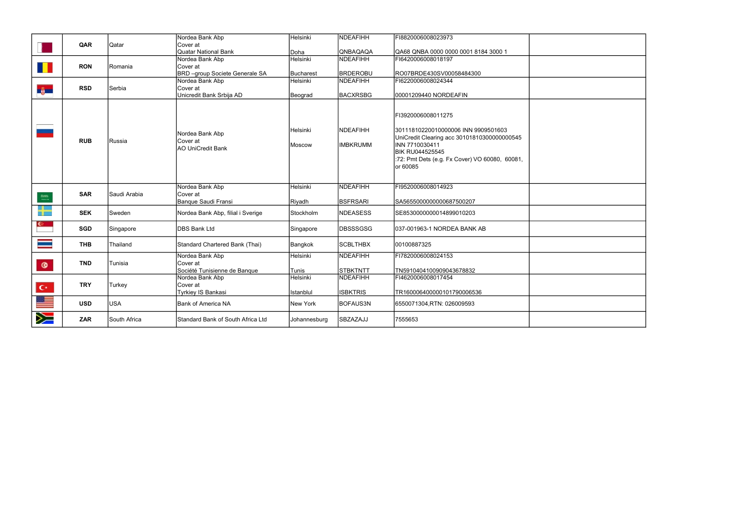|                                        |            |                 | Nordea Bank Abp                                         | Helsinki           | NDEAFIHH                           | FI8820006008023973                                                                                                                                                                                                 |  |
|----------------------------------------|------------|-----------------|---------------------------------------------------------|--------------------|------------------------------------|--------------------------------------------------------------------------------------------------------------------------------------------------------------------------------------------------------------------|--|
|                                        | QAR        | Qatar           | Cover at                                                |                    |                                    |                                                                                                                                                                                                                    |  |
|                                        |            |                 | <b>Quatar National Bank</b>                             | Doha               | QNBAQAQA                           | QA68 QNBA 0000 0000 0001 8184 3000 1                                                                                                                                                                               |  |
|                                        |            |                 | Nordea Bank Abp                                         | Helsinki           | <b>NDEAFIHH</b>                    | FI6420006008018197                                                                                                                                                                                                 |  |
|                                        | <b>RON</b> | Romania         | Cover at                                                |                    |                                    |                                                                                                                                                                                                                    |  |
|                                        |            |                 | BRD -group Societe Generale SA                          | Bucharest          | BRDEROBU                           | RO07BRDE430SV00058484300                                                                                                                                                                                           |  |
|                                        |            |                 | Nordea Bank Abp                                         | Helsinki           | <b>NDEAFIHH</b>                    | FI6220006008024344                                                                                                                                                                                                 |  |
|                                        | <b>RSD</b> | Serbia          | Cover at                                                |                    |                                    |                                                                                                                                                                                                                    |  |
| <b>BELLE</b>                           |            |                 | Unicredit Bank Srbija AD                                | Beograd            | <b>BACXRSBG</b>                    | 00001209440 NORDEAFIN                                                                                                                                                                                              |  |
|                                        | <b>RUB</b> | <b>I</b> Russia | Nordea Bank Abp<br>Cover at<br><b>AO UniCredit Bank</b> | Helsinki<br>Moscow | <b>NDEAFIHH</b><br><b>IMBKRUMM</b> | FI3920006008011275<br>30111810220010000006 INN 9909501603<br>UniCredit Clearing acc 30101810300000000545<br>INN 7710030411<br><b>BIK RU044525545</b><br>:72: Pmt Dets (e.g. Fx Cover) VO 60080, 60081,<br>or 60085 |  |
|                                        | <b>SAR</b> | Saudi Arabia    | Nordea Bank Abp<br>Cover at                             | Helsinki           | <b>NDEAFIHH</b>                    | FI9520006008014923                                                                                                                                                                                                 |  |
| $\stackrel{\rm lim.}{\longrightarrow}$ |            |                 | Banque Saudi Fransi                                     | Riyadh             | <b>BSFRSARI</b>                    | SA5655000000000687500207                                                                                                                                                                                           |  |
| +                                      | <b>SEK</b> | Sweden          | Nordea Bank Abp, filial i Sverige                       | Stockholm          | <b>NDEASESS</b>                    | SE8530000000014899010203                                                                                                                                                                                           |  |
|                                        | <b>SGD</b> | Singapore       | <b>DBS Bank Ltd</b>                                     | Singapore          | <b>DBSSSGSG</b>                    | 037-001963-1 NORDEA BANK AB                                                                                                                                                                                        |  |
|                                        | <b>THB</b> | Thailand        | Standard Chartered Bank (Thai)                          | Bangkok            | <b>SCBLTHBX</b>                    | 00100887325                                                                                                                                                                                                        |  |
|                                        |            |                 | Nordea Bank Abp                                         | Helsinki           | <b>NDEAFIHH</b>                    | FI7820006008024153                                                                                                                                                                                                 |  |
| $\bullet$                              | <b>TND</b> | Tunisia         | Cover at                                                |                    |                                    |                                                                                                                                                                                                                    |  |
|                                        |            |                 | Société Tunisienne de Banque                            | Tunis              | STBKTNTT                           | TN5910404100909043678832                                                                                                                                                                                           |  |
|                                        |            |                 | Nordea Bank Abp                                         | Helsinki           | <b>NDEAFIHH</b>                    | FI4620006008017454                                                                                                                                                                                                 |  |
|                                        | <b>TRY</b> | Turkey          | Cover at                                                |                    |                                    |                                                                                                                                                                                                                    |  |
| $\mathbf{C}^{\star}$                   |            |                 | Tyrkiey IS Bankasi                                      | Istanblul          | <b>ISBKTRIS</b>                    | TR160006400000101790006536                                                                                                                                                                                         |  |
|                                        |            |                 |                                                         |                    |                                    |                                                                                                                                                                                                                    |  |
|                                        | <b>USD</b> | <b>USA</b>      | Bank of America NA                                      | New York           | <b>BOFAUS3N</b>                    | 6550071304,RTN: 026009593                                                                                                                                                                                          |  |
| Ň                                      | <b>ZAR</b> | South Africa    | Standard Bank of South Africa Ltd                       | Johannesburg       | <b>SBZAZAJJ</b>                    | 7555653                                                                                                                                                                                                            |  |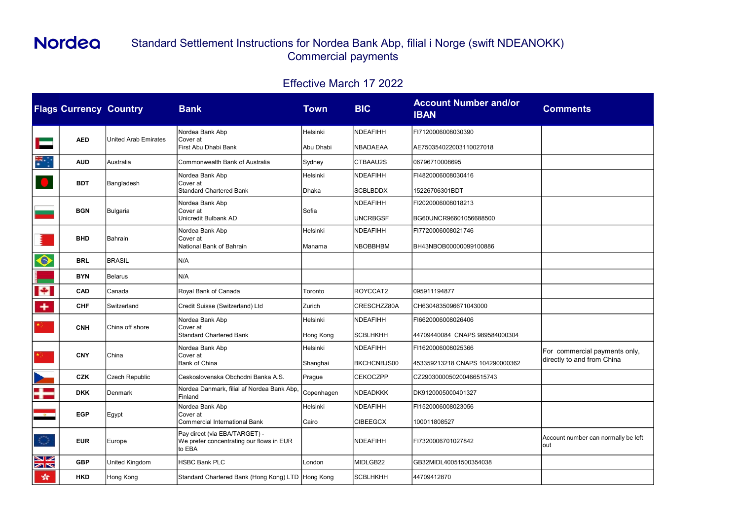|                            | <b>Flags Currency Country</b> |                      | <b>Bank</b>                                                                         | Town          | <b>BIC</b>                         | <b>Account Number and/or</b><br><b>IBAN</b>  | <b>Comments</b>                             |
|----------------------------|-------------------------------|----------------------|-------------------------------------------------------------------------------------|---------------|------------------------------------|----------------------------------------------|---------------------------------------------|
|                            |                               |                      | Nordea Bank Abp                                                                     | Helsinki      | <b>NDEAFIHH</b>                    | FI7120006008030390                           |                                             |
|                            | <b>AED</b>                    | United Arab Emirates | Cover at<br>First Abu Dhabi Bank                                                    | Abu Dhabi     | <b>NBADAEAA</b>                    | AE750354022003110027018                      |                                             |
| 蒙宁                         | <b>AUD</b>                    | Australia            | Commonwealth Bank of Australia                                                      | Sydney        | CTBAAU2S                           | 06796710008695                               |                                             |
|                            | <b>BDT</b>                    | Bangladesh           | Nordea Bank Abp<br>Cover at                                                         | Helsinki      | <b>NDEAFIHH</b>                    | FI4820006008030416                           |                                             |
|                            |                               |                      | <b>Standard Chartered Bank</b>                                                      | Dhaka         | <b>SCBLBDDX</b>                    | 15226706301BDT                               |                                             |
|                            | <b>BGN</b>                    | Bulgaria             | Nordea Bank Abp<br>Cover at<br>Unicredit Bulbank AD                                 | Sofia         | <b>NDEAFIHH</b><br><b>UNCRBGSF</b> | FI2020006008018213<br>BG60UNCR96601056688500 |                                             |
|                            |                               |                      | Nordea Bank Abp                                                                     | Helsinki      | <b>NDEAFIHH</b>                    | FI7720006008021746                           |                                             |
|                            | <b>BHD</b>                    | Bahrain              | Cover at<br>National Bank of Bahrain                                                | Manama        | <b>NBOBBHBM</b>                    | BH43NBOB00000099100886                       |                                             |
| $\color{red}\bm{\Diamond}$ | <b>BRL</b>                    | <b>BRASIL</b>        | N/A                                                                                 |               |                                    |                                              |                                             |
|                            | <b>BYN</b>                    | Belarus              | N/A                                                                                 |               |                                    |                                              |                                             |
| $ \mathbf{+} $             | <b>CAD</b>                    | Canada               | Royal Bank of Canada                                                                | Toronto       | ROYCCAT2                           | 095911194877                                 |                                             |
| $+$                        | <b>CHF</b>                    | Switzerland          | Credit Suisse (Switzerland) Ltd                                                     | Zurich        | CRESCHZZ80A                        | CH6304835096671043000                        |                                             |
| ★ 20                       |                               |                      | Nordea Bank Abp                                                                     | Helsinki      | <b>NDEAFIHH</b>                    | FI6620006008026406                           |                                             |
|                            | <b>CNH</b>                    | China off shore      | Cover at<br><b>Standard Chartered Bank</b>                                          | Hong Kong     | <b>SCBLHKHH</b>                    | 44709440084 CNAPS 989584000304               |                                             |
| *).                        | <b>CNY</b>                    | China                | Nordea Bank Abp<br>Cover at                                                         | Helsinki      | <b>NDEAFIHH</b>                    | FI1620006008025366                           | For commercial payments only,               |
|                            |                               |                      | Bank of China                                                                       | Shanghai      | BKCHCNBJS00                        | 453359213218 CNAPS 104290000362              | directly to and from China                  |
| $\overline{\phantom{a}}$   | <b>CZK</b>                    | Czech Republic       | Ceskoslovenska Obchodni Banka A.S.                                                  | <b>Prague</b> | <b>CEKOCZPP</b>                    | CZ2903000050200466515743                     |                                             |
| $\frac{1}{2}$              | <b>DKK</b>                    | Denmark              | Nordea Danmark, filial af Nordea Bank Abp,<br>Finland                               | Copenhagen    | <b>NDEADKKK</b>                    | DK9120005000401327                           |                                             |
| $-8$                       | <b>EGP</b>                    | Egypt                | Nordea Bank Abp<br>Cover at                                                         | Helsinki      | <b>NDEAFIHH</b>                    | FI1520006008023056                           |                                             |
|                            |                               |                      | <b>Commercial International Bank</b>                                                | Cairo         | <b>CIBEEGCX</b>                    | 100011808527                                 |                                             |
| $\langle \rangle$          | <b>EUR</b>                    | Europe               | Pay direct (via EBA/TARGET) -<br>We prefer concentrating our flows in EUR<br>to EBA |               | <b>NDEAFIHH</b>                    | FI7320006701027842                           | Account number can normally be left<br>lout |
| N<br>N<br>N                | <b>GBP</b>                    | United Kingdom       | <b>HSBC Bank PLC</b>                                                                | London        | MIDLGB22                           | GB32MIDL40051500354038                       |                                             |
| 紫                          | <b>HKD</b>                    | Hong Kong            | Standard Chartered Bank (Hong Kong) LTD Hong Kong                                   |               | <b>SCBLHKHH</b>                    | 44709412870                                  |                                             |

| <b>Comments</b>                                             |
|-------------------------------------------------------------|
|                                                             |
|                                                             |
|                                                             |
|                                                             |
|                                                             |
|                                                             |
|                                                             |
|                                                             |
| For commercial payments only,<br>directly to and from China |
|                                                             |
|                                                             |
| Account number can normally be left<br>out                  |
|                                                             |

## Standard Settlement Instructions for Nordea Bank Abp, filial i Norge (swift NDEANOKK) Commercial payments

## Effective March 17 2022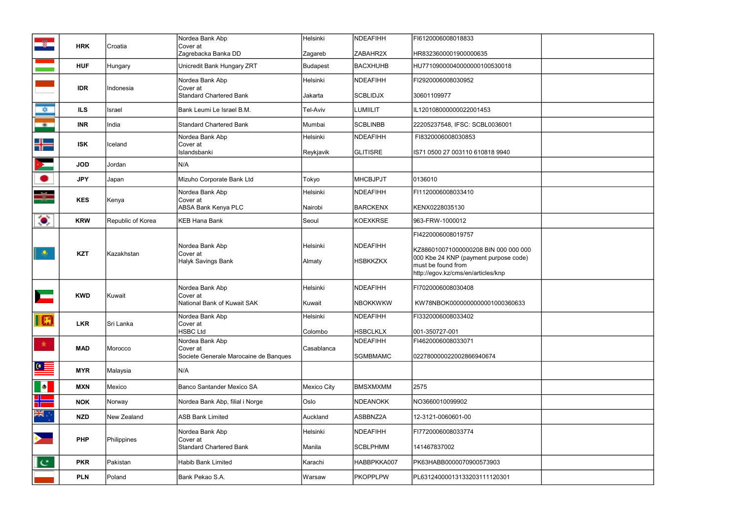| $-2$                  |            |                   | Nordea Bank Abp                            | Helsinki        | <b>NDEAFIHH</b>    | FI6120006008018833                   |                 |                                                                                                   |
|-----------------------|------------|-------------------|--------------------------------------------|-----------------|--------------------|--------------------------------------|-----------------|---------------------------------------------------------------------------------------------------|
|                       | <b>HRK</b> | Croatia           | Cover at<br>Zagrebacka Banka DD            | Zagareb         | ZABAHR2X           | HR8323600001900000635                |                 |                                                                                                   |
|                       | <b>HUF</b> | Hungary           | Unicredit Bank Hungary ZRT                 | <b>Budapest</b> | <b>BACXHUHB</b>    | HU77109000040000000100530018         |                 |                                                                                                   |
|                       |            |                   | Nordea Bank Abp                            | Helsinki        | <b>NDEAFIHH</b>    | FI2920006008030952                   |                 |                                                                                                   |
|                       | <b>IDR</b> | Indonesia         | Cover at<br><b>Standard Chartered Bank</b> | Jakarta         | <b>SCBLIDJX</b>    | 30601109977                          |                 |                                                                                                   |
| $\frac{1}{2}$         | <b>ILS</b> | Israel            | Bank Leumi Le Israel B.M.                  | Tel-Aviv        | <b>LUMIILIT</b>    | IL120108000000022001453              |                 |                                                                                                   |
| $\sim 00$ .           | <b>INR</b> | India             | <b>Standard Chartered Bank</b>             | Mumbai          | <b>SCBLINBB</b>    | 22205237548, IFSC: SCBL0036001       |                 |                                                                                                   |
| $\frac{1}{2}$         | <b>ISK</b> | <b>Iceland</b>    | Nordea Bank Abp<br>Cover at                | Helsinki        | <b>NDEAFIHH</b>    | FI8320006008030853                   |                 |                                                                                                   |
|                       |            |                   | Islandsbanki                               | Reykjavik       | <b>GLITISRE</b>    | IS71 0500 27 003110 610818 9940      |                 |                                                                                                   |
|                       | <b>JOD</b> | Jordan            | N/A                                        |                 |                    |                                      |                 |                                                                                                   |
|                       | <b>JPY</b> | Japan             | Mizuho Corporate Bank Ltd                  | Tokyo           | <b>MHCBJPJT</b>    | 0136010                              |                 |                                                                                                   |
|                       | <b>KES</b> | Kenya             | Nordea Bank Abp<br>Cover at                | Helsinki        | <b>NDEAFIHH</b>    | FI1120006008033410                   |                 |                                                                                                   |
|                       |            |                   | <b>ABSA Bank Kenya PLC</b>                 | Nairobi         | <b>BARCKENX</b>    | KENX0228035130                       |                 |                                                                                                   |
| $\bullet$             | <b>KRW</b> | Republic of Korea | <b>KEB Hana Bank</b>                       | Seoul           | <b>KOEXKRSE</b>    | 963-FRW-1000012                      |                 |                                                                                                   |
|                       |            | Kazakhstan        | Nordea Bank Abp<br>Cover at                |                 | NDEAFIHH           | FI4220006008019757                   |                 |                                                                                                   |
|                       | <b>KZT</b> |                   |                                            | Helsinki        |                    | KZ886010071000000208 BIN 000 000 000 |                 |                                                                                                   |
|                       |            |                   |                                            |                 | Halyk Savings Bank | Almaty                               | <b>HSBKKZKX</b> | 000 Kbe 24 KNP (payment purpose code)<br>must be found from<br>http://egov.kz/cms/en/articles/knp |
|                       |            |                   | Nordea Bank Abp                            | Helsinki        | <b>NDEAFIHH</b>    | FI7020006008030408                   |                 |                                                                                                   |
| $\mathbf{L}$          | <b>KWD</b> | Kuwait            | Cover at<br>National Bank of Kuwait SAK    | Kuwait          | <b>NBOKKWKW</b>    | KW78NBOK0000000000001000360633       |                 |                                                                                                   |
| $\blacksquare$        |            |                   | Nordea Bank Abp                            | Helsinki        | <b>NDEAFIHH</b>    | FI3320006008033402                   |                 |                                                                                                   |
|                       | <b>LKR</b> | Sri Lanka         | Cover at<br><b>HSBC Ltd</b>                | Colombo         | <b>HSBCLKLX</b>    | 001-350727-001                       |                 |                                                                                                   |
| 一席。                   | <b>MAD</b> | Morocco           | Nordea Bank Abp<br>Cover at                | Casablanca      | <b>NDEAFIHH</b>    | FI4620006008033071                   |                 |                                                                                                   |
|                       |            |                   | Societe Generale Marocaine de Banques      |                 | <b>SGMBMAMC</b>    | 022780000022002866940674             |                 |                                                                                                   |
| $\bullet$             | <b>MYR</b> | Malaysia          | N/A                                        |                 |                    |                                      |                 |                                                                                                   |
|                       | <b>MXN</b> | Mexico            | Banco Santander Mexico SA                  | Mexico City     | <b>BMSXMXMM</b>    | 2575                                 |                 |                                                                                                   |
| <u> Espan</u>         | <b>NOK</b> | Norway            | Nordea Bank Abp, filial i Norge            | Oslo            | <b>NDEANOKK</b>    | NO3660010099902                      |                 |                                                                                                   |
| 美。                    | <b>NZD</b> | New Zealand       | <b>ASB Bank Limited</b>                    | Auckland        | ASBBNZ2A           | 12-3121-0060601-00                   |                 |                                                                                                   |
| $\blacktriangleright$ |            |                   | Nordea Bank Abp                            | Helsinki        | <b>NDEAFIHH</b>    | FI7720006008033774                   |                 |                                                                                                   |
|                       | <b>PHP</b> | Philippines       | Cover at<br><b>Standard Chartered Bank</b> | Manila          | <b>SCBLPHMM</b>    | 141467837002                         |                 |                                                                                                   |
| $\mathbf{I}$ c        | <b>PKR</b> | Pakistan          | <b>Habib Bank Limited</b>                  | Karachi         | HABBPKKA007        | PK63HABB0000070900573903             |                 |                                                                                                   |
|                       | <b>PLN</b> | Poland            | Bank Pekao S.A.                            | Warsaw          | <b>PKOPPLPW</b>    | PL63124000013133203111120301         |                 |                                                                                                   |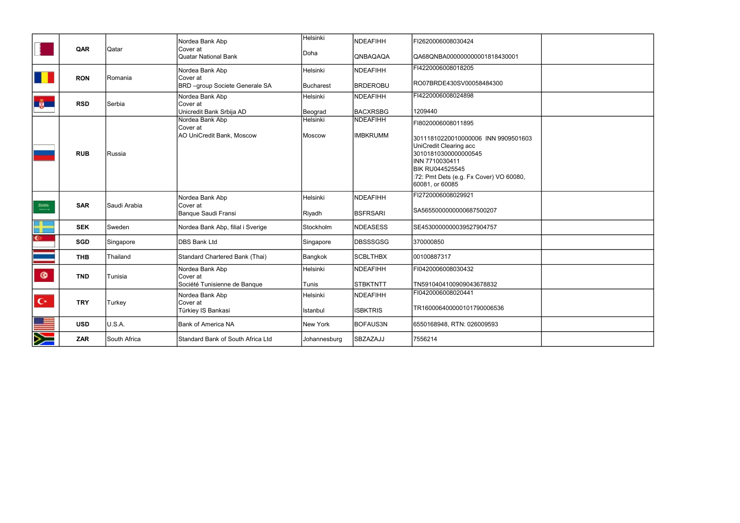|                                     |            |              | Nordea Bank Abp                                   | Helsinki         | <b>NDEAFIHH</b> | FI2620006008030424                                         |  |
|-------------------------------------|------------|--------------|---------------------------------------------------|------------------|-----------------|------------------------------------------------------------|--|
|                                     | QAR        | Qatar        | <b>Cover</b> at<br>Quatar National Bank           | Doha             | QNBAQAQA        | QA68QNBA000000000001818430001                              |  |
|                                     |            | Romania      | Nordea Bank Abp                                   | Helsinki         | <b>NDEAFIHH</b> | FI4220006008018205                                         |  |
|                                     | <b>RON</b> |              | Cover at<br><b>BRD</b> -group Societe Generale SA | <b>Bucharest</b> | <b>BRDEROBU</b> | RO07BRDE430SV00058484300                                   |  |
| <b>B</b>                            | <b>RSD</b> | Serbia       | Nordea Bank Abp<br>Cover at                       | Helsinki         | <b>NDEAFIHH</b> | FI4220006008024898                                         |  |
|                                     |            |              | Unicredit Bank Srbija AD                          | Beograd          | <b>BACXRSBG</b> | 1209440                                                    |  |
|                                     |            |              | Nordea Bank Abp<br>Cover at                       | Helsinki         | <b>NDEAFIHH</b> | FI8020006008011895                                         |  |
|                                     |            |              | AO UniCredit Bank, Moscow                         | Moscow           | <b>IMBKRUMM</b> | 30111810220010000006 INN 9909501603                        |  |
|                                     |            |              |                                                   |                  |                 | UniCredit Clearing acc                                     |  |
|                                     | <b>RUB</b> | Russia       |                                                   |                  |                 | 30101810300000000545<br>INN 7710030411                     |  |
|                                     |            |              |                                                   |                  |                 | <b>BIK RU044525545</b>                                     |  |
|                                     |            |              |                                                   |                  |                 | :72: Pmt Dets (e.g. Fx Cover) VO 60080,<br>60081, or 60085 |  |
|                                     |            |              | Nordea Bank Abp                                   | Helsinki         | <b>NDEAFIHH</b> | FI2720006008029921                                         |  |
| $\frac{\mathrm{RMS}}{\mathrm{SMS}}$ | <b>SAR</b> | Saudi Arabia | Cover at                                          |                  |                 |                                                            |  |
|                                     |            |              | Banque Saudi Fransi                               | Riyadh           | <b>BSFRSARI</b> | SA5655000000000687500207                                   |  |
| 뫎                                   | <b>SEK</b> | Sweden       | Nordea Bank Abp, filial i Sverige                 | Stockholm        | <b>NDEASESS</b> | SE4530000000039527904757                                   |  |
| $\mathbb{C}^n$                      | <b>SGD</b> | Singapore    | DBS Bank Ltd                                      | Singapore        | DBSSSGSG        | 370000850                                                  |  |
|                                     | <b>THB</b> | Thailand     | Standard Chartered Bank (Thai)                    | Bangkok          | <b>SCBLTHBX</b> | 00100887317                                                |  |
| $\circ$                             | <b>TND</b> | Tunisia      | Nordea Bank Abp<br>Cover at                       | Helsinki         | <b>NDEAFIHH</b> | FI0420006008030432                                         |  |
|                                     |            |              | Société Tunisienne de Banque                      | Tunis            | <b>STBKTNTT</b> | TN5910404100909043678832                                   |  |
|                                     |            |              | Nordea Bank Abp                                   | Helsinki         | <b>NDEAFIHH</b> | FI0420006008020441                                         |  |
| $C^*$                               | <b>TRY</b> | Turkey       | Cover at<br>Türkiey IS Bankasi                    | Istanbul         | <b>ISBKTRIS</b> | TR160006400000101790006536                                 |  |
| 22 -<br>1                           | <b>USD</b> | U.S.A.       | Bank of America NA                                | New York         | <b>BOFAUS3N</b> | 6550168948, RTN: 026009593                                 |  |
| Ň                                   | <b>ZAR</b> | South Africa | Standard Bank of South Africa Ltd                 | Johannesburg     | SBZAZAJJ        | 7556214                                                    |  |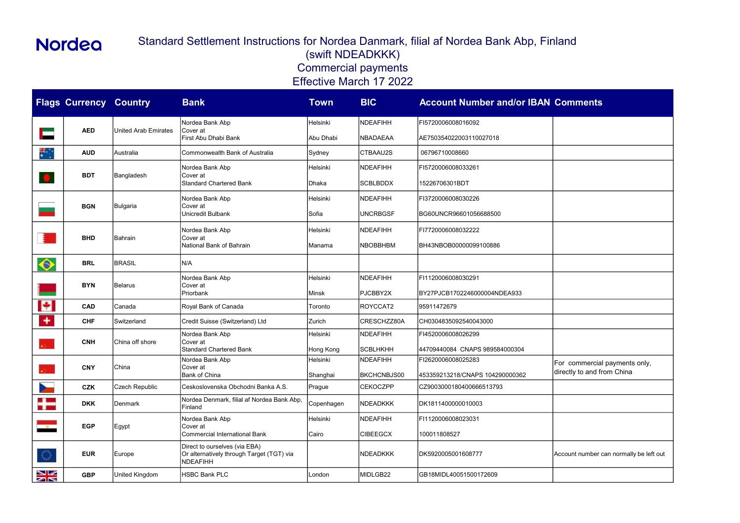| <b>Comments</b>                                             |
|-------------------------------------------------------------|
|                                                             |
|                                                             |
|                                                             |
|                                                             |
|                                                             |
|                                                             |
|                                                             |
|                                                             |
|                                                             |
|                                                             |
| For commercial payments only,<br>directly to and from China |
|                                                             |
|                                                             |
|                                                             |
| Account number can normally be left out                     |
|                                                             |

|                | <b>Flags Currency Country</b>      |                 | <b>Bank</b>                                                                            | <b>Town</b>  | <b>BIC</b>         | <b>Account Number and/or IBAN Comments</b> |                                         |
|----------------|------------------------------------|-----------------|----------------------------------------------------------------------------------------|--------------|--------------------|--------------------------------------------|-----------------------------------------|
|                |                                    |                 | Nordea Bank Abp                                                                        | Helsinki     | <b>NDEAFIHH</b>    | FI5720006008016092                         |                                         |
|                | <b>AED</b><br>United Arab Emirates |                 | Cover at<br>First Abu Dhabi Bank                                                       | Abu Dhabi    | <b>NBADAEAA</b>    | AE750354022003110027018                    |                                         |
| ₩.             | <b>AUD</b>                         | Australia       | Commonwealth Bank of Australia                                                         | Sydney       | CTBAAU2S           | 06796710008660                             |                                         |
|                |                                    |                 | Nordea Bank Abp                                                                        | Helsinki     | <b>NDEAFIHH</b>    | FI5720006008033261                         |                                         |
| $\bigcirc$     | <b>BDT</b>                         | Bangladesh      | Cover at<br><b>Standard Chartered Bank</b>                                             | Dhaka        | <b>SCBLBDDX</b>    | 15226706301BDT                             |                                         |
|                |                                    |                 | Nordea Bank Abp                                                                        | Helsinki     | <b>NDEAFIHH</b>    | FI3720006008030226                         |                                         |
|                | <b>BGN</b>                         | <b>Bulgaria</b> | Cover at<br>Unicredit Bulbank                                                          | Sofia        | <b>UNCRBGSF</b>    | BG60UNCR96601056688500                     |                                         |
|                |                                    |                 | Nordea Bank Abp                                                                        | Helsinki     | <b>NDEAFIHH</b>    | FI7720006008032222                         |                                         |
|                | <b>BHD</b>                         | Bahrain         | Cover at<br>National Bank of Bahrain                                                   | Manama       | <b>NBOBBHBM</b>    | BH43NBOB00000099100886                     |                                         |
| ♦              | <b>BRL</b>                         | <b>BRASIL</b>   | N/A                                                                                    |              |                    |                                            |                                         |
|                |                                    | Belarus         | Nordea Bank Abp                                                                        | Helsinki     | <b>NDEAFIHH</b>    | FI1120006008030291                         |                                         |
|                | <b>BYN</b>                         |                 | Cover at<br>Priorbank                                                                  | <b>Minsk</b> | PJCBBY2X           | BY27PJCB1702246000004NDEA933               |                                         |
| E              | <b>CAD</b>                         | Canada          | Royal Bank of Canada                                                                   | Toronto      | ROYCCAT2           | 95911472679                                |                                         |
| ٠              | <b>CHF</b>                         | Switzerland     | Credit Suisse (Switzerland) Ltd                                                        | Zurich       | CRESCHZZ80A        | CH0304835092540043000                      |                                         |
|                |                                    | China off shore | Nordea Bank Abp<br>Cover at                                                            | Helsinki     | <b>NDEAFIHH</b>    | FI4520006008026299                         |                                         |
|                | <b>CNH</b>                         |                 | <b>Standard Chartered Bank</b>                                                         | Hong Kong    | <b>SCBLHKHH</b>    | 44709440084 CNAPS 989584000304             |                                         |
|                | <b>CNY</b>                         | China           | Nordea Bank Abp<br>Cover at                                                            | Helsinki     | <b>NDEAFIHH</b>    | FI2620006008025283                         | For commercial payments only,           |
|                |                                    |                 | Bank of China                                                                          | Shanghai     | <b>BKCHCNBJS00</b> | 453359213218/CNAPS 104290000362            | directly to and from China              |
|                | <b>CZK</b>                         | Czech Republic  | Ceskoslovenska Obchodni Banka A.S.                                                     | Prague       | <b>CEKOCZPP</b>    | CZ9003000180400666513793                   |                                         |
| a jeo<br>S     | <b>DKK</b>                         | Denmark         | Nordea Denmark, filial af Nordea Bank Abp,<br>Finland                                  | Copenhagen   | <b>NDEADKKK</b>    | DK1811400000010003                         |                                         |
|                |                                    |                 | Nordea Bank Abp                                                                        | Helsinki     | <b>NDEAFIHH</b>    | FI1120006008023031                         |                                         |
| $-8 -$         | <b>EGP</b>                         | Egypt           | Cover at<br><b>Commercial International Bank</b>                                       | Cairo        | <b>CIBEEGCX</b>    | 100011808527                               |                                         |
| $\binom{m}{2}$ | <b>EUR</b>                         | Europe          | Direct to ourselves (via EBA)<br>Or alternatively through Target (TGT) via<br>NDEAFIHH |              | <b>NDEADKKK</b>    | DK5920005001608777                         | Account number can normally be left out |
| $\frac{N}{N}$  | <b>GBP</b>                         | United Kingdom  | <b>HSBC Bank PLC</b>                                                                   | London       | MIDLGB22           | GB18MIDL40051500172609                     |                                         |

### Standard Settlement Instructions for Nordea Danmark, filial af Nordea Bank Abp, Finland (swift NDEADKKK) Commercial payments Effective March 17 2022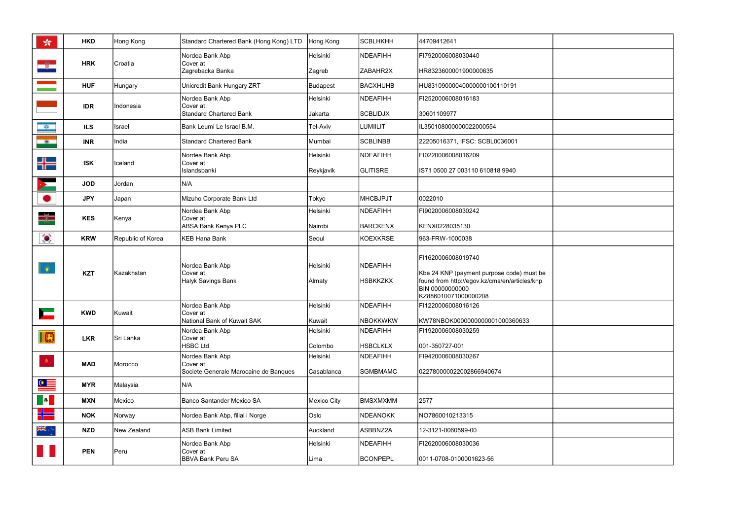| ☆                            | <b>HKD</b> | Hong Kong         | Standard Chartered Bank (Hong Kong) LTD                  | Hong Kong                                         | SCBLHKHH                    | 44709412641                                                                                                                                                 |                          |  |
|------------------------------|------------|-------------------|----------------------------------------------------------|---------------------------------------------------|-----------------------------|-------------------------------------------------------------------------------------------------------------------------------------------------------------|--------------------------|--|
|                              |            |                   | Nordea Bank Abp                                          | Helsinki                                          | NDEAFIHH                    | FI7920006008030440                                                                                                                                          |                          |  |
| -8                           | <b>HRK</b> | Croatia           | Cover at<br>Zagrebacka Banka                             | Zagreb                                            | ZABAHR2X                    | HR8323600001900000635                                                                                                                                       |                          |  |
|                              | <b>HUF</b> | Hungary           | Unicredit Bank Hungary ZRT                               | <b>Budapest</b>                                   | BACXHUHB                    | HU83109000040000000100110191                                                                                                                                |                          |  |
|                              |            |                   | Nordea Bank Abp                                          | Helsinki                                          | NDEAFIHH                    | FI2520006008016183                                                                                                                                          |                          |  |
|                              | <b>IDR</b> | Indonesia         | Cover at<br>Standard Chartered Bank                      | Jakarta                                           | <b>SCBLIDJX</b>             | 30601109977                                                                                                                                                 |                          |  |
| $\mathbb{R}^n$ .             | <b>ILS</b> | Israel            | Bank Leumi Le Israel B.M.                                | Tel-Aviv                                          | <b>LUMIILIT</b>             | IL350108000000022000554                                                                                                                                     |                          |  |
| $-100$                       | <b>INR</b> | India             | Standard Chartered Bank                                  | Mumbai                                            | <b>SCBLINBB</b>             | 22205016371, IFSC: SCBL0036001                                                                                                                              |                          |  |
|                              | <b>ISK</b> | Iceland           | Nordea Bank Abp<br>Cover at                              | Helsinki                                          | NDEAFIHH                    | FI0220006008016209                                                                                                                                          |                          |  |
| 뭬                            |            |                   | Islandsbanki                                             | Reykjavik                                         | <b>GLITISRE</b>             | IS71 0500 27 003110 610818 9940                                                                                                                             |                          |  |
|                              | <b>JOD</b> | Jordan            | N/A                                                      |                                                   |                             |                                                                                                                                                             |                          |  |
| ٠                            | <b>JPY</b> | Japan             | Mizuho Corporate Bank Ltd                                | Tokyo                                             | IMHCBJPJT                   | 0022010                                                                                                                                                     |                          |  |
|                              | <b>KES</b> | Kenya             | Nordea Bank Abp<br>Cover at                              | Helsinki                                          | NDEAFIHH                    | FI9020006008030242                                                                                                                                          |                          |  |
|                              |            |                   | ABSA Bank Kenya PLC                                      | Nairobi                                           | <b>BARCKENX</b>             | KENX0228035130                                                                                                                                              |                          |  |
| $\bullet$                    | <b>KRW</b> | Republic of Korea | KEB Hana Bank                                            | Seoul                                             | KOEXKRSE                    | 963-FRW-1000038                                                                                                                                             |                          |  |
| $\ddot{\bullet}$             | <b>KZT</b> | Kazakhstan        | Nordea Bank Abp<br><b>Cover</b> at<br>Halyk Savings Bank | Helsinki<br>Almaty                                | NDEAFIHH<br><b>HSBKKZKX</b> | FI1620006008019740<br>Kbe 24 KNP (payment purpose code) must be<br>found from http://egov.kz/cms/en/articles/knp<br>BIN 00000000000<br>KZ886010071000000208 |                          |  |
|                              | <b>KWD</b> | Kuwait            | Nordea Bank Abp<br>Cover at                              | Helsinki                                          | NDEAFIHH                    | FI1220006008016126                                                                                                                                          |                          |  |
| <b>Property</b>              |            |                   | National Bank of Kuwait SAK                              | Kuwait                                            | <b>NBOKKWKW</b>             | KW78NBOK0000000000001000360633                                                                                                                              |                          |  |
| $\blacksquare$               | <b>LKR</b> | Sri Lanka         | Nordea Bank Abp<br>Cover at<br><b>HSBC Ltd</b>           | Helsinki<br>Colombo                               | NDEAFIHH<br><b>HSBCLKLX</b> | FI1920006008030259<br>001-350727-001                                                                                                                        |                          |  |
|                              |            |                   | Nordea Bank Abp                                          | Helsinki                                          | NDEAFIHH                    | FI9420006008030267                                                                                                                                          |                          |  |
| $\langle \mathbf{k} \rangle$ | <b>MAD</b> |                   | Morocco                                                  | Cover at<br>Societe Generale Marocaine de Banques | Casablanca                  | <b>SGMBMAMC</b>                                                                                                                                             | 022780000022002866940674 |  |
| $\bullet \equiv$             | <b>MYR</b> | Malaysia          | N/A                                                      |                                                   |                             |                                                                                                                                                             |                          |  |
| <b>D</b>                     | <b>MXN</b> | Mexico            | Banco Santander Mexico SA                                | <b>Mexico City</b>                                | BMSXMXMM                    | 2577                                                                                                                                                        |                          |  |
| ska s                        | <b>NOK</b> | Norway            | Nordea Bank Abp, filial i Norge                          | Oslo                                              | NDEANOKK                    | NO7860010213315                                                                                                                                             |                          |  |
|                              | <b>NZD</b> | New Zealand       | ASB Bank Limited                                         | Auckland                                          | ASBBNZ2A                    | 12-3121-0060599-00                                                                                                                                          |                          |  |
|                              | <b>PEN</b> | Peru              | Nordea Bank Abp<br>Cover at<br><b>BBVA Bank Peru SA</b>  | Helsinki<br>Lima                                  | NDEAFIHH<br><b>BCONPEPL</b> | FI2620006008030036<br>0011-0708-0100001623-56                                                                                                               |                          |  |